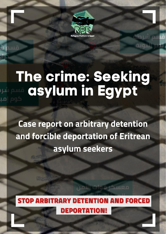

W

LО

۱ö

# The crime: Seeking<br>asylum in Egypt

**Case report on arbitrary detention** and forcible deportation of Eritrean asylum seekers



معسكر قوات الأمن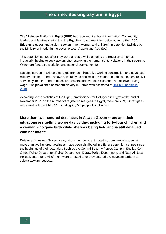The "Refugee Platform in Egypt (RPE) has received first-hand information. Community leaders and families stating that the Egyptian government has detained more than 200 Eritrean refugees and asylum seekers (men, women and children) in detention facilities by the Ministry of Interior in the governorates (Aswan and Red Sea).

This detention comes after they were arrested while entering the Egyptian territories irregularly, hoping to seek asylum after escaping the human rights violations in their country. Which are forced conscription and national service for life.

National service in Eritrea can range from administrative work to construction and advanced military training. Eritreans have absolutely no choice in the matter. In addition, the entire civil service system in Eritrea - teachers, doctors and everyone else does not receive a living wage. The prevalence of modern slavery in Eritrea was estimated at 451,000 people in [2018.](https://www.statista.com/chart/26321/countries-with-highest-estimated-prevalence-of-modern-slavery/)

According to the statistics of the High Commissioner for Refugees in Egypt at the end of November 2021 on the number of registered refugees in Egypt, there are 269,826 refugees registered with the UNHCR. Including 20,778 people from Eritrea.

#### **More than two hundred detainees in Aswan Governorate and their situations are getting worse day by day, including forty-four children and a woman who gave birth while she was being held and is still detained with her infant:**

Detainees in Aswan Governorate, whose number is estimated by community leaders at more than two hundred detainees, have been distributed in different detention centres since the beginning of their detention. Such as the Central Security Forces Camp in Shallal, Kom Ombo Police Department Police Department, Daraw Police Department, and Nasr Al Nuba Police Department. All of them were arrested after they entered the Egyptian territory to submit asylum requests.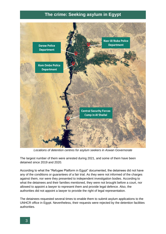

*Locations of detention centres for asylum seekers in Aswan Governorate*

The largest number of them were arrested during 2021, and some of them have been detained since 2019 and 2020.

According to what the "Refugee Platform in Egypt" documented, the detainees did not have any of the conditions or guarantees of a fair trial. As they were not informed of the charges against them, nor were they presented to independent investigation bodies. According to what the detainees and their families mentioned, they were not brought before a court, nor allowed to appoint a lawyer to represent them and provide legal defence. Also, the authorities did not appoint a lawyer to provide the right of legal representation.

The detainees requested several times to enable them to submit asylum applications to the UNHCR office in Egypt. Nevertheless, their requests were rejected by the detention facilities authorities.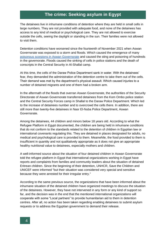The detainees live in inhumane conditions of detention where they are held in small cells in large numbers. They are not provided with adequate food, and none of the detainees has access to any kind of medical or psychological care. They are not allowed to exercise outside the cells, seeing the daylight or standing in the sun. Their families were not allowed to visit them.

Detention conditions have worsened since the fourteenth of November 2021 when Aswan Governorate was exposed to a storm and floods. Which caused the emergence of many [poisonous scorpions in Aswan Governorate](https://almawkefalmasry.com/%d8%b3%d9%8a%d9%88%d9%84-%d9%88%d8%b9%d9%82%d8%a7%d8%b1%d8%a8-%d9%81%d9%8a-%d8%a3%d8%b3%d9%88%d8%a7%d9%86-%d8%ae%d8%a7%d9%84%d8%b5-%d8%a7%d9%84%d8%b9%d8%b2%d8%a7%d8%a1-%d9%88%d8%a7%d9%84%d8%aa%d8%b6/) and caused the sting and poisoning of hundreds in the governorate. Floods caused the sinking of cells in police stations and the death of conscripts in the Central Security in Al-Shallal camp.

At this time, the cells of the Daraw Police Department sank in water. With the detainees' fear, they demanded the administration of the detention centre to take them out of the cells. Their demand was met by the department's physical assault. Which caused injuries to a number of detained migrants and one of them had a broken arm.

In the aftermath of the floods that overran Aswan Governorate, the authorities of the Security Directorate of Aswan Governorate transferred detainees from the Kom Ombo police station and the Central Security Forces camp in Shallal to the Daraw Police Department. Which led to the increase of detainees number and to overcrowd the cells there. In addition, there are still more than twenty-five detainees in Nasr El-Nuba Police Department, Aswan Governorate.

Among the detainees, 44 children and minors below 18 years old. According to what the Refugee Platform in Egypt documented, the children are being held in inhumane conditions that do not conform to the standards related to the detention of children in Egyptian law or international covenants regulating this. They are detained in places designated for adults, no medical and psychological care is provided to them. Meanwhile, the food provided to them is insufficient in quantity and not qualitatively appropriate as it does not give an appropriate healthy nutritional value to detainees, especially mothers and children.

A well-informed source about the situation of four detained children in Aswan Governorate told the refugee platform in Egypt that international organizations working in Egypt have reports and complaints from families and community leaders about the situation of detained Eritrean children. Since the beginning of their detention, UNHCR, Save the Children and UNICEF were informed "but their situation was considered very special and sensitive because they were arrested for their irregular entry."

According to the same previous source, the organizations that have been informed about the inhumane situation of the detained children have organized meetings to discuss the situation of the detainees. However, they have not intervened in any form or any kind of support so far, and the decision was in the end that the mentioned international organizations will cooperate with some "Local partners" to provide humanitarian aid to them in detention centres. After all, no action has been taken regarding enabling detainees to submit asylum requests or to address the Egyptian government to demand their release.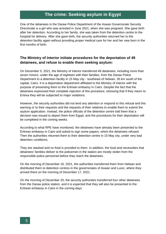One of the detainees in the Daraw Police Department of the Aswan Governorate Security Directorate is a girl who was arrested in June 2021, when she was pregnant. She gave birth after her detention. According to her family, she was taken from the detention centre to the hospital for delivery. After she gave birth, the security authorities returned her to the detention facility again without providing proper medical care for her and her new born in the first months of birth.

#### **The Ministry of Interior initiate procedures for the deportation of 49 detainees, and refuse to enable them seeking asylum:**

On December 5, 2021, the Ministry of Interior transferred 49 detainees, including more than seven minors, under the age of eighteen with their families, from the Daraw Police Department to a detention facility in 15 May city - southeast of Helwan, 35 km south of the capital, Cairo. It is a deportation department affiliated to the Ministry of Interior with the purpose of presenting them to the Eritrean embassy in Cairo. Despite the fact that the detainees expressed their complete rejection of this procedure, stressing that if they return to Eritrea they will be subjected to major violations.

However, the security authorities did not lend any attention or respond to this refusal and this warning or to their requests and the requests of their relatives to enable them to submit the asylum application. Instead, the police officials of the detention centre told them that a decision was issued to deport them from Egypt, and the procedures for their deportation will be completed in the coming weeks.

According to what RPE have monitored, the detainees have already been presented to the Eritrean embassy in Cairo and asked to sign some papers, which the detainees refused. Then the authorities returned them to their detention centre in 15 May city, under very bad detention conditions.

They are stacked and no food is provided to them. In addition, the food and necessities that detainees' families deliver to the policemen in the station are mostly stolen from the responsible police personnel before they reach the detainees.

On the morning of December 16, 2021, the authorities transferred them from Helwan and distributed them to detention centres in the governorates of Aswan and Luxor, where they arrived there on the morning of December 17, 2021.

On the morning of December 20, the security authorities transferred four other detainees from the Daraw police station, and it is expected that they will also be presented to the Eritrean embassy in Cairo in the coming days.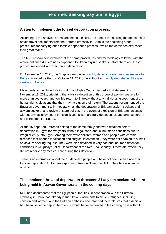#### **A step to implement the forced deportation process:**

According to the analysis of researchers in the RPE, the step of transferring the detainees to obtain travel documents from the Eritrean embassy in Cairo is the beginning of the procedures for carrying out a forcible deportation process - which the detainees expressed their great fear of.

The RPE researchers explain that the same procedures and methodology followed with the aforementioned 49 detainees happened to fifteen asylum seekers before them and these procedures ended with their forced deportation.

On November 18, 2021, the Egyptian authorities [forcibly deported seven asylum seekers to](http://rpegy.org/8ogk)  [Eritrea.](http://rpegy.org/8ogk) Also before that, on October 31, 2021, the authorities forcibly [deported eight asylum](https://rpegy.org/en/egypt-continues-to-deport-asylum-seekers-despite-the-risk-of-torture/)[seekers to Eritrea.](https://rpegy.org/en/egypt-continues-to-deport-asylum-seekers-despite-the-risk-of-torture/)

UN experts at the United Nations Human Rights Council issued a UN statement on November 19, 2021, criticizing the arbitrary detention of this group of asylum seekers for more than two years, and forcible return to Eritrea without any individual assessment of the human rights violations that they may face upon their return. The experts recommended the Egyptian government to immediately halt the deportation of Eritrean asylum seekers and asylum seekers. and review of state policies in the event of expulsion of Eritrean nationals without any assessment of the significant risks of arbitrary detention, disappearance, torture and ill-treatment in Eritrea.

All the 15 deported Eritreans belong to the same family and were detained before deportation in Egypt for two years without legal basis and in inhumane conditions due to irregular entry into Egypt. Among them were children, women and people with chronic diseases that needed medication and surgical intervention - they were not enabled to submit an asylum-seeking request. They were also detained in very bad and inhuman detention conditions in Al-Qusayr Police Department of the Red Sea Security Directorate, where they did not receive any medical care during their detention.

There is no information about the 15 deported people and have not been seen since their forcible deportation to Asmara airport in Eritrea on November 18th. Their fate is unknown until now.

#### **The imminent threat of deportation threatens 21 asylum seekers who are being held in Aswan Governorate in the coming days:**

RPE had documented that the Egyptian authorities, in cooperation with the Eritrean embassy in Cairo, had already issued travel documents to eleven refugees, including children and women, and the Eritrean embassy had informed their relatives that a decision had been issued to deport them and it would be implemented in the coming days without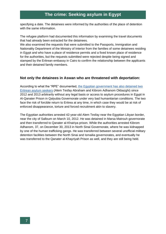specifying a date. The detainees were informed by the authorities of the place of detention with the same information.

The refugee platform had documented this information by examining the travel documents that had already been extracted for the detainees.

We also examined the requests that were submitted to the Passports, Immigration and Nationality Department of the Ministry of Interior from the families of some detainees residing in Egypt and who have a place of residence permits and a fixed known place of residence for the authorities, but the requests submitted were rejected despite being signed and stamped by the Eritrean embassy in Cairo to confirm the relationship between the applicants and their detained family members.

#### **Not only the detainees in Aswan who are threatened with deportation:**

According to what the "RPE" documented, [the Egyptian government has also detained two](https://rpegy.org/%d8%ae%d9%84%d8%a7%d9%84-%d8%a7%d9%84%d8%a3%d9%8a%d8%a7%d9%85-%d8%a7%d9%84%d9%85%d8%a7%d8%b6%d9%8a%d8%a9-%d8%a8%d8%b1%d8%b2-%d8%a7%d8%b3%d9%85%d9%8e%d9%8a%d9%92-%d8%a7%d9%84%d9%84%d8%a7%d8%ac%d9%90/)  [Eritrean asylum seekers](https://rpegy.org/%d8%ae%d9%84%d8%a7%d9%84-%d8%a7%d9%84%d8%a3%d9%8a%d8%a7%d9%85-%d8%a7%d9%84%d9%85%d8%a7%d8%b6%d9%8a%d8%a9-%d8%a8%d8%b1%d8%b2-%d8%a7%d8%b3%d9%85%d9%8e%d9%8a%d9%92-%d8%a7%d9%84%d9%84%d8%a7%d8%ac%d9%90/) (Alem Tesfay Abraham and Kibrom Adhanom Okbazghi) since 2012 and 2013 arbitrarily without any legal basis or access to asylum procedures in Egypt in Al-Qanater Prison in Qalyubia Governorate under very bad humanitarian conditions. The two face the risk of forcible return to Eritrea at any time, in which case they would be at risk of enforced disappearance, torture and forced recruitment akin to slavery.

The Egyptian authorities arrested 42-year-old Alem Tesfay near the Egyptian Libyan border, near the city of Salloum on March 10, 2012. He was detained in Marsa Matrouh governorate and then transferred to Qanater al-Khairiya prison. While the authorities arrested Kibrom Adhanom, 37, on December 30, 2013 in North Sinai Governorate, where he was kidnapped by one of the human trafficking gangs. He was transferred between several unofficial military detention facilities between the North Sinai and Ismailia governorates, and eventually he was transferred to the Qanater al-Khayriyah Prison as well, and they are still being held.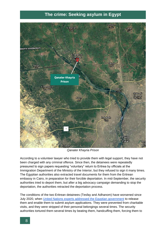

*Qanater Khayria Prison*

According to a volunteer lawyer who tried to provide them with legal support, they have not been charged with any criminal offence. Since then, the detainees were repeatedly pressured to sign papers requesting "voluntary" return to Eritrea by officials at the Immigration Department of the Ministry of the Interior, but they refused to sign it many times. The Egyptian authorities also extracted travel documents for them from the Eritrean embassy in Cairo, in preparation for their forcible deportation. In mid-September, the security authorities tried to deport them, but after a big advocacy campaign demanding to stop the deportation, the authorities retracted the deportation process.

The conditions of the two Eritrean detainees (Tesfay and Adhanom) have worsened since July 2020, when [United Nations experts addressed the Egyptian government](https://spcommreports.ohchr.org/TMResultsBase/DownLoadPublicCommunicationFile?gId=25388) to release them and enable them to submit asylum applications. They were prevented from charitable visits, and they were stripped of their personal belongings several times. The security authorities tortured them several times by beating them, handcuffing them, forcing them to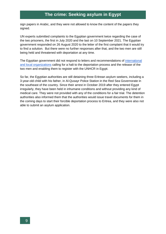sign papers in Arabic, and they were not allowed to know the content of the papers they signed.

UN experts submitted complaints to the Egyptian government twice regarding the case of the two prisoners, the first in July 2020 and the last on 10 September 2021. The Egyptian government responded on 26 August 2020 to the letter of the first complaint that it would try to find a solution. But there were no further responses after that, and the two men are still being held and threatened with deportation at any time.

The Egyptian government did not respond to letters and recommendations of [international](https://www.amnesty.org/ar/documents/mde12/4843/2021/ar/)  [and local organizations](https://www.amnesty.org/ar/documents/mde12/4843/2021/ar/) calling for a halt to the deportation process and the release of the two men and enabling them to register with the UNHCR in Egypt.

So far, the Egyptian authorities are still detaining three Eritrean asylum seekers, including a 3-year-old child with his father, in Al-Qusayr Police Station in the Red Sea Governorate in the southeast of the country. Since their arrest in October 2019 after they entered Egypt irregularly, they have been held in inhumane conditions and without providing any kind of medical care. They were not provided with any of the conditions for a fair trial. The detention authorities also informed them that the authorities would issue travel documents for them in the coming days to start their forcible deportation process to Eritrea, and they were also not able to submit an asylum application.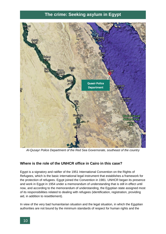

*Al-Qusayr Police Department of the Red Sea Governorate, southeast of the country*

#### **Where is the role of the UNHCR office in Cairo in this case?**

Egypt is a signatory and ratifier of the 1951 International Convention on the Rights of Refugees, which is the basic international legal instrument that establishes a framework for the protection of refugees. Egypt joined the Convention in 1981. UNHCR began its presence and work in Egypt in 1954 under a memorandum of understanding that is still in effect until now, and according to the memorandum of understanding, the Egyptian state assigned most of its responsibilities related to dealing with refugees (identification, registration, providing aid, in addition to resettlement).

In view of the very bad humanitarian situation and the legal situation, in which the Egyptian authorities are not bound by the minimum standards of respect for human rights and the

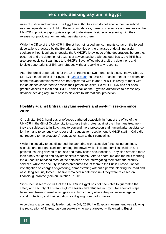rules of justice and fairness. The Egyptian authorities also do not enable them to submit asylum requests, and in light of these circumstances, there is no effective and real role of the UNHCR in providing appropriate support to detainees. Neither of interfering with their release nor providing humanitarian assistance to them.

While the Office of the UNHCR in Egypt has not issued any comments so far on the forced deportations practised by the Egyptian authorities or the practises of detaining asylum seekers without legal basis, despite the UNHCR's knowledge of the deportations before they occurred and the detention of dozens of asylum seekers without legal basis, the RPE has also previously sent warnings to UNHCR's Egypt office about arbitrary detentions and forcible deportations of Eritrean refugees without receiving any response.

After the forced deportations for the 15 Eritreans last two month took place, Radwa Sharaf, UNHCR's media official in Egypt, told [Mada Masr](https://www.madamasr.com/ar/2021/11/20/news/u/%d8%a7%d9%84%d8%ad%d9%83%d9%88%d9%85%d8%a9-%d8%aa%d9%82%d9%86%d9%86-%d9%86%d8%b8%d8%b1%d8%aa%d9%87%d8%a7-%d9%84%d9%84%d8%a5%d9%86%d9%81%d8%a7%d9%82-%d8%b9%d9%84%d9%89-%d8%a7%d9%84%d8%b5%d8%ad%d8%a9/) that UNHCR "has learned of the detention of the relevant detainees who are not registered with it, and UNHCR is ready to meet with the detainees concerned to assess their protection claim. So far, UNHCR has not been granted access to them and UNHCR didn't call on the Egyptian authorities to assess any detainee seeking asylum to assess his claim to international protection.

#### **Hostility against Eritrean asylum seekers and asylum seekers since 2019:**

On July 21, 2019, hundreds of refugees gathered peacefully in front of the office of the UNHCR in the 6th of October city to express their protest against the inhumane treatment they are subjected to in Egypt and to demand more protection and humanitarian assistance for them and to seriously consider their requests for resettlement. UNHCR staff in Cairo did not respond to the protesters' requests or listen to their complaints.

While the security forces dispersed the gathering with excessive force, using beatings, assaults and tear gas canisters among the crowd, which included families, children and patients, causing dozens of bruises and many cases of suffocation. They also arrested more than ninety refugees and asylum seekers randomly. After a short time and the next morning, the authorities released most of the detainees after interrogating them from the security services, while the security services presented five of them to the Public Prosecution for investigation on charges of gathering, demonstrating without a permit, blocking the road and assaulting security forces. The five remained in detention until they were released on financial guarantee (bail) on October 27, 2019.

Since then, it seems to us that the UNHCR in Egypt has not been able to guarantee the safety and security of Eritrean asylum seekers and refugees in Egypt. No effective steps have been taken to resettle refugees in a third country where they will receive legal and social protection, and their situation is still going from bad to worse.

According to a community leader, prior to July 2019, the Egyptian government was allowing the registration of Eritrean asylum seekers who were arrested while entering Egypt

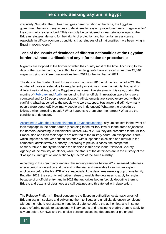irregularly, "but after the Eritrean refugees demonstration at that time, the Egyptian government began to deny access to detainees for asylum procedures due to irregular entry" the community leader added, "This can only be considered a clear retaliation against the Eritrean refugees' demand for their rights of protection and humanitarian assistance, especially in difficult economic conditions that refugees of all nationalities have been living in Egypt in recent years."

#### **Tens of thousands of detainees of different nationalities at the Egyptian borders without clarification of any information or procedures:**

Migrants are stopped at the border or within the country most of the time. According to the data of the Egyptian army, the authorities' border guards have arrested more than 42,648 migrants trying of different nationalities from 2019 to the first half of 2021.

The data of the Border Guard forces shows that, from 2016 until the first half of 2021, the number of those arrested due to irregular entry or exit was more than eighty thousand of different nationalities, and the Egyptian army issued two statements this year, during the months of (**February** and **April**), announcing that "unofficial immigration operations were countered and 6,490 people were stopped". All statements are issued every year without clarifying what happened to the people who were stopped. Has anyone died? How many people were deported? How many people are in detention? What are the procedures followed when arresting people? What happens to them after their arrest? What are the conditions of detention?

[According to what the refugee platform in Egypt documented,](https://rpegy.org/9w5o) asylum seekers in the event of their stoppage in the border areas (according to the military law) or in the areas adjacent to the borders (according to Presidential Decree 444 of 2014) they are presented to the Military Prosecution and then their papers are referred to the military court - an exceptional court which imposes a one-year prison sentence with suspended execution and referral to the competent administrative authority. According to previous cases, the competent administrative authority that issues the decision in this case is the "National Security Agency" of the Ministry of Interior, while the status of the detainees are in the custody of the "Passports, Immigration and Nationality Sector" of the same ministry.

According to the community leaders, the security services before 2019, released detainees after a period of detention and the end of the trial, and were able to submit an asylum application before the NNHCR office, especially if the detainees were a group of one family. But after 2019, the security authorities refuse to enable the detainees to apply for asylum because of unofficial entry, and in 2021 the authorities began forcibly deporting them to Eritrea, and dozens of detainees are still detained and threatened with deportation.

The Refugee Platform in Egypt condemns the Egyptian authorities' systematic arrest of Eritrean asylum seekers and subjecting them to illegal and unofficial detention conditions without the right to representation and legal defence before the authorities, and in some cases referring people to exceptional military courts and refusing to enable them to apply for asylum before UNHCR and the choice between accepting deportation or prolonged